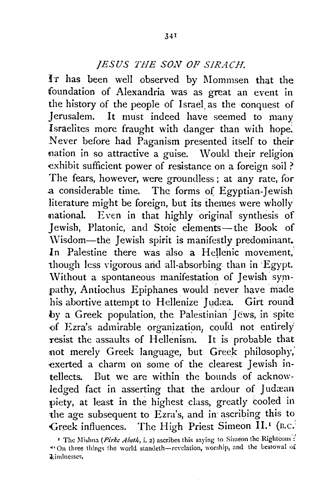## *JESUS THE SON OF SJRACH.*

IT has been well observed by Mommsen that the foundation of Alexandria was as great an event in the history of the people of Israel. as the conquest of Jerusalem. It must indeed have seemed to many Israelites more fraught with danger than with hope: Never before had Paganism presented itself to their nation in so attractive a guise. Would their religion exhibit sufficient power of resistance on a foreign soil ? The fears, however, were groundless; at any rate, for a considerable time. The forms of Egyptian-Jewish literature might be foreign, but its themes were wholly national. Even in that highly original synthesis of Jewish, Platonic, and Stoic elements-the Book of \Visdom-the Jewish spirit is manifestly predominant. In Palestine there was also a Hellenic movement, though less vigorous arid all-absorbing than in 'Egypt. Without a spontaneous manifestation of *Jewish* sympathy, Antiochus Epiphanes would never have made his abortive attempt to Hellenize Judæa. Girt round by a Greek population, the Palestinian Jews, in spite of Ezra's admirable organization, could not entirely resist the assaults of Hellenism. It is probable that not merely Greek language, but. Greek philosophy, exerted a charm on some of the clearest Jewish intellects. But we are within the bounds of acknowledged fact in asserting that the ardour of Judæan piety, at least in the highest class, greatly cooled in the age subsequent to Ezra's, and in· ascribing this to Greek influences. The High Priest Simeon II.<sup>1</sup> (B.C.

<sup>&</sup>lt;sup>*r*</sup> The Mishna (Pirke *Aboth, i. 2)* ascribes this saying to Simeon the Righteous : "On three things the world standeth-revelation, worship, and the bestowal of ikindnesses.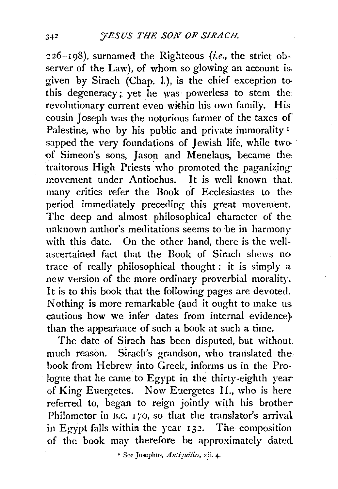226-198), surnamed the Righteous *(i.e.,* the strict observer of the Law), of whom so glowing an account is. given by Sirach (Chap. 1.), is the chief exception tothis degeneracy; yet he was powerless to stem therevolutionary current even within his own family. His cousin Joseph was the notorious farmer of the taxes of Palestine, who by his public and private immorality<sup>1</sup> sapped the very foundations of Jewish life, while two. of Simeon's sons, Jason and Menelaus, became thetraitorous High Priests who promoted the paganizing inovement under Antiochus. It is well known that many critics refer the Book of Ecclesiastes to the period immediately preceding this great movement. The deep and almost philosophical character of the unknown author's meditations seems to be in harmony with this date. On the other hand, there is the wellascertained fact that the Book of Sirach shcws no trace of really philosophical thought: it is simply a new version of the more ordinary proverbial morality. It is to this book that the following pages are devoted. Nothing is more remarkable (and it ought to make us. cautious how we infer dates from internal evidence} than the appearance of such a book at such a time.

The date of Sirach has been disputed, but without. much reason. Sirach's grandson, who translated the book from Hebrew into Greek, informs us in the Prologue that he came to Egypt in the thirty-eighth year of King Euergetes. Now Euergetes II., who is here referred to, began to reign jointly with his brother Philometor in B.C. 170, so that the translator's arrival in Egypt falls within the year  $132$ . The composition of the book may therefore be approximately dated

<sup>1</sup> See Josephus, Antiquities, xii. 4.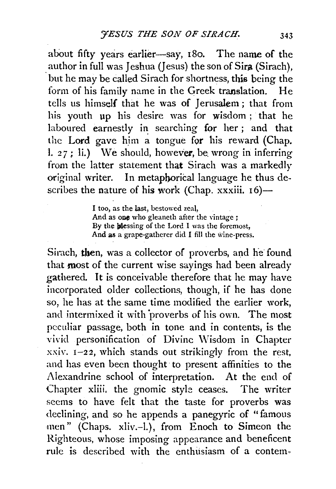about fifty years earlier-say, 180. The name of the author in full was Jeshua (Jesus) the son of Sira (Sirach), but he may be called Sirach for shortness, this being the form of his family name in the Greek translation. He tells us himself that he was of Jerusalem; that from his youth up his desire was for wisdom ; that he laboured earnestly in searching for her; and that the Lord gave him a tongue for his reward (Chap. 1.  $27$ ; li.) We should, however, be wrong in inferring from the latter statement that Sirach was a markedly original writer. In metaphorical language he thus describes the nature of his work (Chap. xxxiii.  $16$ )-

> I too, as the last, bestowed zeal, And as one who gleaneth after the vintage ; By the blessing of the Lord I was the foremost, And  $a\bar{s}$  a grape-gatherer did I fill the wine-press.

Sirach, then, was a collector of proverbs, and he found that most of the current wise sayings had been already gathered. It is conceivable therefore that he may have incorporated older collections, though, if he has done so, he has at the same time modified the earlier work, and intermixed it with proverbs of his own. The most peculiar passage, both in tone and in contents, is the vivid personification of Divine \Visdom in Chapter  $xxiv.$   $1-22$ , which stands out strikingly from the rest, and has even been thought to present affinities to the Alexandrine school of interpretation. At the end of Chapter xliii. the gnomic style ceases. The writer seems to have felt that the taste for proverbs was declining, and so he appends a panegyric of "famous men" (Chaps. xliv.-1.), from Enoch to Simeon the Righteous, whose imposing appearance and beneficent rule is described with the enthiisiasm of a contem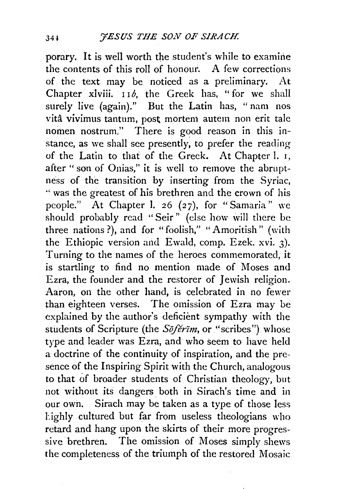porary. It is well worth the student's while to examine the contents of this roll of honour. A few corrections of the text may be noticed as a preliminary. At Chapter xlviii. 116, the Greek has, "for we shall surely live (again)." But the Latin has, "nam nos vita vivimus tantum, post. mortem autem non erit tale nomen nostrum." There is good reason in this instance, as we shall see presently, to prefer the reading of the Latin to that of the Greek. At Chapter 1. r, after "son of Onias," it is well to remove the abruptness of the transition by inserting from the Syriac, ·• was the greatest of his brethren and the crown of his people." At Chapter J. 26 (27), for "Samaria" we should probably read "Seir" (else how \vill there be three nations?), and for "foolish," "Amoritish" (with the Ethiopic version and Ewald, comp. Ezek. xvi. 3). Turning to the names of the heroes commemorated, it is startling to find no mention made of Moses and Ezra, the founder and the restorer of Jewish religion. Aaron, on the other hand, is celebrated in no fewer than eighteen verses. The omission of Ezra may be explained by the author's deficient sympathy with the students of Scripture (the *Söferim*, or "scribes") whose type and leader was Ezra, and who seem to have held a doctrine of the continuity of inspiration, and the presence of the Inspiring Spirit with the Church, analogous to that of broader students of Christian theology, but not without its dangers. both in Sirach's time and in our own. Sirach may be taken as a type of those less l:ighly cultured but far from useless theologians who retard and hang upon the skirts of their more progressive brethren. The omission of Moses simply shews the completeness of the triumph of the restored Mosaic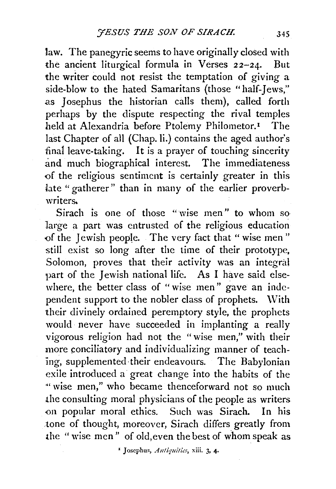law. The panegyric seems to have originally closed with the ancient liturgical formula in Verses 22-24. But the writer could not resist the temptation of giving a side-blow to the hated Samaritans (those "half-Jews," as Josephus the historian calls them), called forth perhaps by the dispute respecting the rival temples held at Alexandria before Ptolemy Philometor.<sup>1</sup> The last Chapter of all (Chap. li.) contains the aged author's final leave-taking. It is a prayer of touching sincerity and much biographical interest. The immediateness of the religious sentiment is certainly greater in this late "gatherer" than in many of the earlier proverbwriters.

Sirach is one of those "wise men" to whom so large a part was entrusted of the religious education of the Jewish people. The very fact that " wise men" still exist so long after the time of their prototype, Solomon, proves that their activity was an integral part of the Jewish national life. As I have said elsewhere, the better class of "wise men" gave an independent support to the nobler class of prophets. \Vith their divinely ordained peremptory style, the prophets would never have succeeded in implanting a really vigorous religion had not the "wise men," with their more conciliatory and individualizing manner of teaching, supplemented their endeavours. The Babylonian exile introduced a great change into the habits of the "' wise men," who became thenceforward not so much .the consulting moral physicians of the people as writers on popular moral ethics. Such was Sirach. In his tone of thought, moreover, Sirach differs greatly from the "wise men" of old,even the best of whom speak as

<sup>&</sup>lt;sup>1</sup> Josephus, *Antiquitics*, xiii. 3, 4.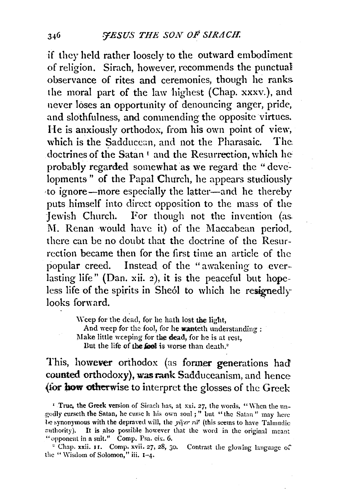if they held rather loosely to the outward embodiment of religion. Sirach, however, recommends the punctual observance of rites and ceremonies, though he ranks. the moral part of the law highest (Chap. xxxv.), and never loses an opportunity of denouncing anger, pride, and slothfulness, and commending the opposite virtues. He is anxiously orthodox, from his own point of view, which is the Sadducean, and not the Pharasaic. The doctrines of the Satan<sup>1</sup> and the Resurrection, which he probably regarded somewhat as we regard the "developments" of the Papal Church, he appears studiously ·to ignore-more especially the latter-and he thereby puts himself into direct opposition to the mass of the Jewish Church. For though not the invention (as. M. Renan would have it) of the Maccabean period, there can be no doubt that the doctrine of the Resurrection became then for the first time an article of the popular creed. Instead of the "awakening to everlasting life" (Dan. xii. 2), it is the peaceful but hopeless life of the spirits in Sheol to which he resignedly looks forward.

> Weep for the dead, for he hath lost the light, And weep for the fool, for he **wanteth** understanding : Make little weeping for the dead, for he is at rest, But the life of the fool is worse than death. $^2$

This, however orthodox (as former generations had counted orthodoxy), was rank Sadduceanism, and hence (for how otherwise to interpret the glosses of the Greek

<sup>1</sup> True, the Greek version of Sirach has, at xxi. 27, the words, "When the ungodly curseth. the Satan, he curse h his own soul ; " but "the Satan " may here be synonymous with the depraved will, the  $y\bar{q}e\nu r\bar{u}$  (this seems to have Talmudic cuthority). It is also possible however that the word in the original meant "opponent in a suit." Comp. Psa. cix.  $6$ .

<sup>2</sup> Chap. xxii. 11. Comp. xvii. 27, 28, 30. Contrast the glowing language of the "Wisdom of Solomon," iii. 1-4.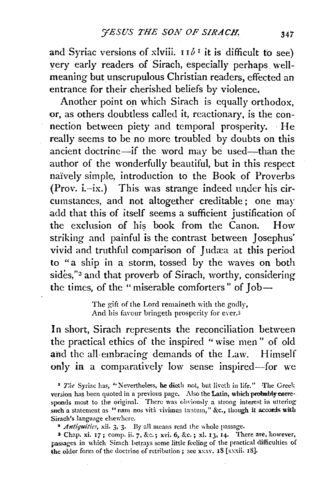and Syriac versions of xlviii.  $II \delta^T$  it is difficult to see) very early readers of Sirach, especially perhaps wellmeaning but unscrupulous Christian readers, effected an entrance for their cherished beliefs by violence.

Another point on which Sirach is equally orthodox, or, as others doubtless called it, reactionary, is the connection between piety and temporal prosperity. He really seems to be no more troubled by doubts on this ancient doctrine-if the word may be used-than the author of the wonderfully beautiful, but in this respect naively simple, introduction to the Book of Proverbs (Prov. i.-ix.) This was strange indeed under his circumstances, and not altogether creditable ; one mar add that this of itself seems a sufficient justification of the exclusion of his book from the Canon. How striking and painful is the contrast between Josephus' vivid and truthful comparison of Judæa at this period to "a ship in a storm, tossed by the waves on both sides,"<sup>2</sup> and that proverb of Sirach, worthy, considering the times, of the "miserable comforters" of Job-

> The gift of the Lord remaineth with the godly, And his favour bringeth prosperity for ever.<sup>3</sup>

In short, Sirach represents the reconciliation between the practical ethics of the inspired " wise men " of old and the all-embracing demands of the Law. Himself only in a comparatively low sense inspired-for we

• *The* Syriac has, "Nevertheless, he dieth not, hut livcth in life." -The Greek version has been quoted in a previous page. Also the Latin, which probably corresponds most to the original. There was obviously a strong interest in uttering such a statement as "nam nos vità vivimus tantum," &c., though it accords with Sirach's language elsewhere.

<sup>a</sup> Antiquities, xii. 3, 3. By all means read the whole passage.

3 Chap. xi. 17; comp. ii. 7, &c.; xvi. 6, &c.; xl. IJ, 14· There are, however, passages in which Sirach hetrays some little feeling of the practical difficulties of the older form of the doctrine of retribution; sec xxxv. 18 [xxxii. 18].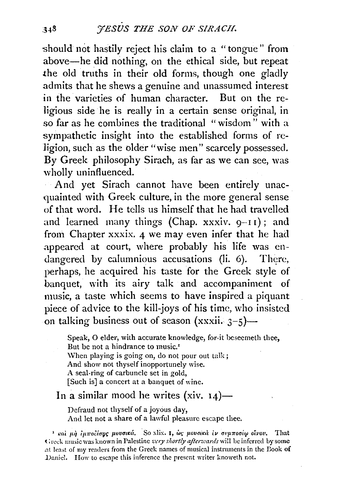should not hastily reject his claim to a "tongue" from above-he did nothing, on the ethical side, but repeat .the old truths in their old forms, though one gladly admits that he shews a genuine and unassumed interest in the varieties of human character. But on the religious side he is really in a certain sense original, in *so* far as he combines the traditional "wisdom" with a sympathetic insight into the established forms of religion, such as the older "wise men" scarcely possessed. By Greek philosophy Sirach, as far as we can see, was wholly uninfluenced.

And yet Sirach cannot have been entirely unacquainted with Greek culture, in the more general sense of that word. He tells us himself that he had travelled and learned many things (Chap. xxxiv. 9-11); and from Chapter xxxix. 4 we may even infer that he had appeared at court, where probably his life was endangered by calumnious accusations (li.  $6$ ). There, perhaps, he acquired his taste for the Greek style of banquet, with its airy talk and accompaniment of music, a taste which seems to have inspired a piquant piece of advice to the kill-joys of his time, who insisted on talking business out of season  $(xxxii. 3-5)$ —

Speak, O elder, with accurate knowledge, for-it beseemeth thee, But be not a hindrance to music.<sup>1</sup> When playing is going on, do not pour out talk; And show not thyself inopportunely wise. A seal-ring of carbuncle set in gold, [Such is] a concert at a banquet of wine.

## In a similar mood he writes (xiv.  $14$ )—

Defraud not thyself of a joyous day, And let not a share of a lawful pleasure escape thee.

<sup>1</sup> και μη *ιμποδίσης μυνσικά.* So xlix. 1, ως μουσικά *τν συμποσίω οίνου*. That Greek music was known in Palestine very shortly afterwards will be inferred by some at least of my readers from the Greek names of musical instruments in the Book of Daniel. How to escape this inference the present writer knoweth not.

 $348$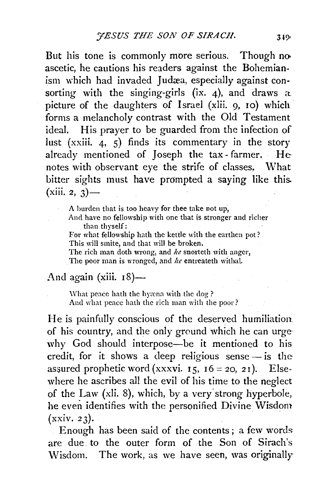But his tone is commonly more serious. Though no. ascetic, he cautions his readers against the Bohemianism which had invaded Judæa, especially against consorting with the singing-girls  $(ix, 4)$ , and draws a picture of the daughters of Israel (xlii. 9, 10) which· forms a melancholy contrast with the Old Testament ideal. His prayer to be guarded from the infection of lust (xxiii. 4, 5) finds its commentary in the story already mentioned of Joseph the tax-farmer. He notes with observant eye the strife of classes, What bitter sights must have prompted a saying like this.  $(xiii. 2, 3)$  —

A burden that is too heavy for thee take not up, And have no fellowship with one that is stronger and richer than thyself: For what fellowship hath the kettle with the earthen pot?

This will smite, and that will be broken.

The rich man doth wrong, and *he* snorteth with anger, The poor man is wronged, and *he* entreateth withal.

## And again (xiii.  $18$ ) $-$

'Vhat peace bath the hyxna with the dog ? And what peace hath the rich man with the poor?

He is painfully conscious of the deserved humiliation. of his country, and the only ground which he can urge why God should interpose-be it mentioned to his credit, for it shows a deep religious sense $-$  is the assured prophetic word (xxxvi. 15,  $16 = 20$ ,  $21$ ). Elsewhere he ascribes all the evil of his time to the neglect of the Law (xli. 8), which, by a very strong hyperbole, he even identifies with the personified Divine Wisdom  $(xxiv. 23)$ .

Enough has been said of the contents; a few words are due. to the outer form of the Son of Sirach's Wisdom. The work, as we have seen, was originally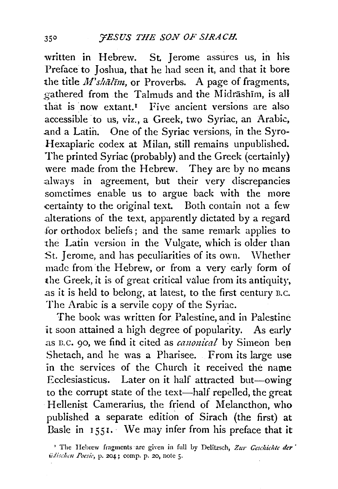written in Hebrew. St Jerome assures us, in his Preface to Joshua, that he had seen it, and that it bore the title  $M$ 'shalim, or Proverbs. A page of fragments, gathered from the Talmuds and the Midrashim, is all that is now extant.<sup>I</sup> Five ancient versions are also accessible to us, viz., a Greek, two Syriac, an Arabic, .and a Latin. One of the Syriac versions, in the Syro-Hexapiaric codex at Milan, still remains unpublished. The printed Syriac (probably) and the Greek (certainly) were made from the Hebrew. They are by no means :always in agreement, but their very discrepancies sometimes enable us to argue back with the more .certainty to the original text. Both contain not a few .alterations of the text, apparently dictated by a regard for orthodox beliefs ; and the same remark applies to the Latin version in the Vulgate, which is older than St. Jerome, and has peculiarities of its own. Whether made from the Hebrew, or from a very early form of the Greek, it is of great critical value from its antiquity, .as it is held to belong, at latest, to the first century B.c. The Arabic is a servile copy of the Syriac.

The book was written for Palestine, and in Palestine it soon attained a high degree of popularity. As early as B.C. 90, we find it cited as *canonical* by Simeon ben Shetach, and he was a Pharisee. From its large use in the services of the Church it received the name Ecclesiasticus. Later on it half attracted but-owing to the corrupt state of the text-half repelled, the great Hellenist Camerarius, the friend of Melancthon, who published a separate edition of Sirach (the first) at Basle in 1551. We may infer from his preface that it

<sup>&</sup>lt;sup>2</sup> The Hebrew fragments are given in full by Delitzsch, Zur Geschichte der *iidischm Poesti·,* p. 204; comp. p. 20, note *5·*